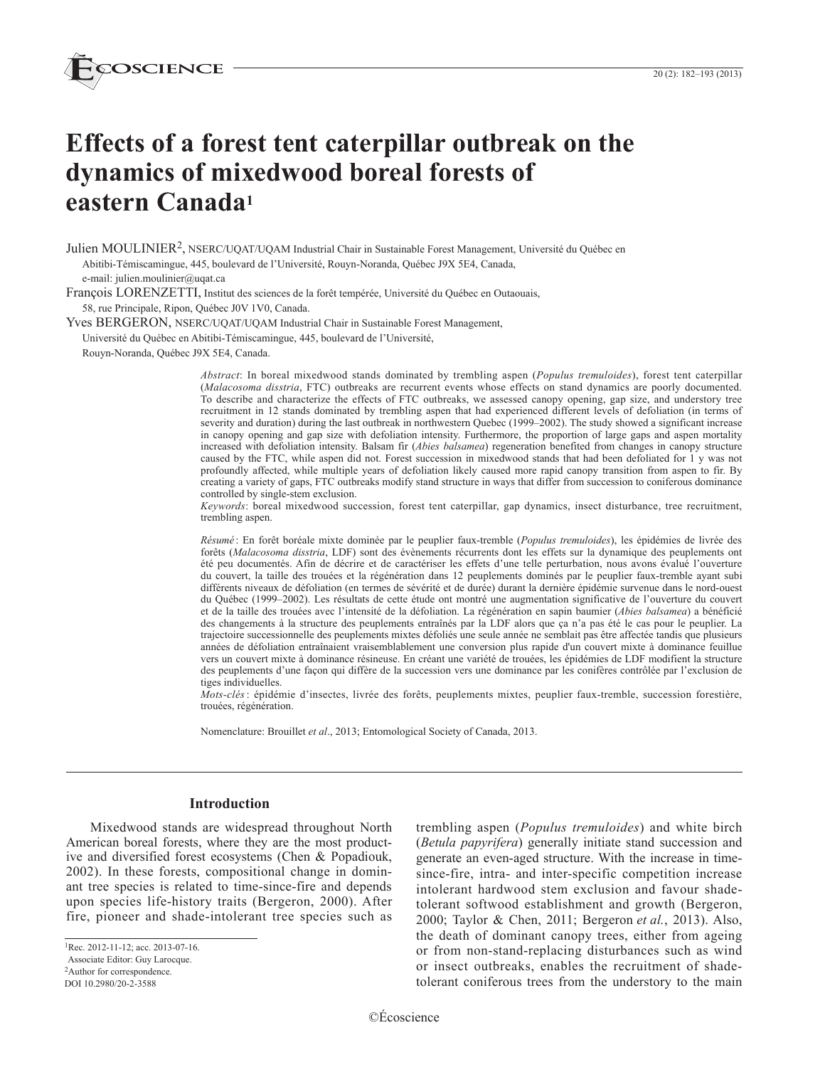

# **Effects of a forest tent caterpillar outbreak on the dynamics of mixedwood boreal forests of eastern Canada1**

Julien MOULINIER<sup>2</sup>, NSERC/UQAT/UQAM Industrial Chair in Sustainable Forest Management, Université du Québec en Abitibi-Témiscamingue, 445, boulevard de l'Université, Rouyn-Noranda, Québec J9X 5E4, Canada, e-mail: julien.moulinier@uqat.ca

François LORENZETTI, Institut des sciences de la forêt tempérée, Université du Québec en Outaouais, 58, rue Principale, Ripon, Québec J0V 1V0, Canada.

Yves BERGERON, NSERC/UQAT/UQAM Industrial Chair in Sustainable Forest Management,

Université du Québec en Abitibi-Témiscamingue, 445, boulevard de l'Université,

Rouyn-Noranda, Québec J9X 5E4, Canada.

*Abstract*: In boreal mixedwood stands dominated by trembling aspen (*Populus tremuloides*), forest tent caterpillar (*Malacosoma disstria*, FTC) outbreaks are recurrent events whose effects on stand dynamics are poorly documented. To describe and characterize the effects of FTC outbreaks, we assessed canopy opening, gap size, and understory tree recruitment in 12 stands dominated by trembling aspen that had experienced different levels of defoliation (in terms of severity and duration) during the last outbreak in northwestern Quebec (1999–2002). The study showed a significant increase in canopy opening and gap size with defoliation intensity. Furthermore, the proportion of large gaps and aspen mortality increased with defoliation intensity. Balsam fir (*Abies balsamea*) regeneration benefited from changes in canopy structure caused by the FTC, while aspen did not. Forest succession in mixedwood stands that had been defoliated for 1 y was not profoundly affected, while multiple years of defoliation likely caused more rapid canopy transition from aspen to fir. By creating a variety of gaps, FTC outbreaks modify stand structure in ways that differ from succession to coniferous dominance controlled by single-stem exclusion.

*Keywords*: boreal mixedwood succession, forest tent caterpillar, gap dynamics, insect disturbance, tree recruitment, trembling aspen.

*Résumé* : En forêt boréale mixte dominée par le peuplier faux-tremble (*Populus tremuloides*), les épidémies de livrée des forêts (*Malacosoma disstria*, LDF) sont des évènements récurrents dont les effets sur la dynamique des peuplements ont été peu documentés. Afin de décrire et de caractériser les effets d'une telle perturbation, nous avons évalué l'ouverture du couvert, la taille des trouées et la régénération dans 12 peuplements dominés par le peuplier faux-tremble ayant subi différents niveaux de défoliation (en termes de sévérité et de durée) durant la dernière épidémie survenue dans le nord-ouest du Québec (1999-2002). Les résultats de cette étude ont montré une augmentation significative de l'ouverture du couvert et de la taille des trouées avec l'intensité de la défoliation. La régénération en sapin baumier (*Abies balsamea*) a bénéficié des changements à la structure des peuplements entraînés par la LDF alors que ça n'a pas été le cas pour le peuplier. La trajectoire successionnelle des peuplements mixtes défoliés une seule année ne semblait pas être affectée tandis que plusieurs années de défoliation entraînaient vraisemblablement une conversion plus rapide d'un couvert mixte à dominance feuillue vers un couvert mixte à dominance résineuse. En créant une variété de trouées, les épidémies de LDF modifient la structure des peuplements d'une façon qui diffère de la succession vers une dominance par les conifères contrôlée par l'exclusion de tiges individuelles.

*Mots-clés*: épidémie d'insectes, livrée des forêts, peuplements mixtes, peuplier faux-tremble, succession forestière, trouées, régénération.

Nomenclature: Brouillet *et al*., 2013; Entomological Society of Canada, 2013.

### **Introduction**

Mixedwood stands are widespread throughout North American boreal forests, where they are the most productive and diversified forest ecosystems (Chen & Popadiouk, 2002). In these forests, compositional change in dominant tree species is related to time-since-fire and depends upon species life-history traits (Bergeron, 2000). After fire, pioneer and shade-intolerant tree species such as

<sup>1</sup>Rec. 2012-11-12; acc. 2013-07-16. Associate Editor: Guy Larocque. 2Author for correspondence. DOI 10.2980/20-2-3588

trembling aspen (*Populus tremuloides*) and white birch (*Betula papyrifera*) generally initiate stand succession and generate an even-aged structure. With the increase in timesince-fire, intra- and inter-specific competition increase intolerant hardwood stem exclusion and favour shadetolerant softwood establishment and growth (Bergeron, 2000; Taylor & Chen, 2011; Bergeron *et al.*, 2013). Also, the death of dominant canopy trees, either from ageing or from non-stand-replacing disturbances such as wind or insect outbreaks, enables the recruitment of shadetolerant coniferous trees from the understory to the main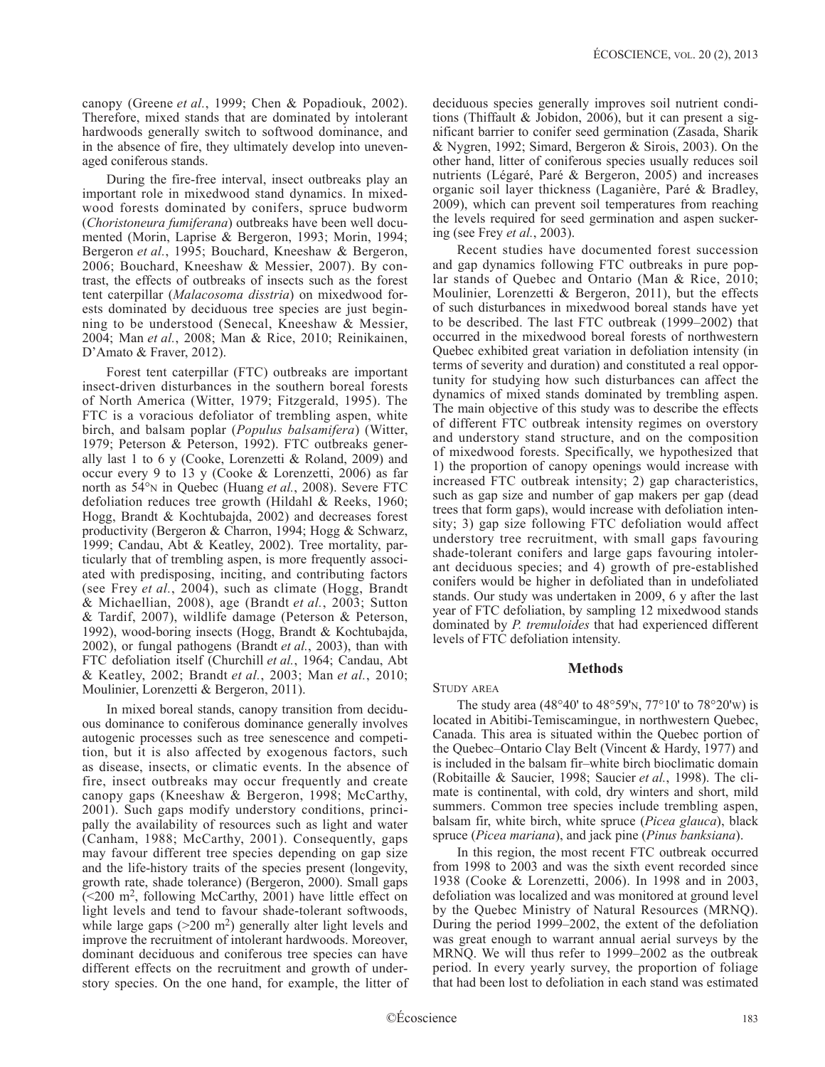canopy (Greene *et al.*, 1999; Chen & Popadiouk, 2002). Therefore, mixed stands that are dominated by intolerant hardwoods generally switch to softwood dominance, and in the absence of fire, they ultimately develop into unevenaged coniferous stands.

During the fire-free interval, insect outbreaks play an important role in mixedwood stand dynamics. In mixedwood forests dominated by conifers, spruce budworm (*Choristoneura fumiferana*) outbreaks have been well documented (Morin, Laprise & Bergeron, 1993; Morin, 1994; Bergeron *et al.*, 1995; Bouchard, Kneeshaw & Bergeron, 2006; Bouchard, Kneeshaw & Messier, 2007). By contrast, the effects of outbreaks of insects such as the forest tent caterpillar (*Malacosoma disstria*) on mixedwood forests dominated by deciduous tree species are just beginning to be understood (Senecal, Kneeshaw & Messier, 2004; Man *et al.*, 2008; Man & Rice, 2010; Reinikainen, D'Amato & Fraver, 2012).

Forest tent caterpillar (FTC) outbreaks are important insect-driven disturbances in the southern boreal forests of North America (Witter, 1979; Fitzgerald, 1995). The FTC is a voracious defoliator of trembling aspen, white birch, and balsam poplar (*Populus balsamifera*) (Witter, 1979; Peterson & Peterson, 1992). FTC outbreaks generally last 1 to 6 y (Cooke, Lorenzetti & Roland, 2009) and occur every 9 to 13 y (Cooke & Lorenzetti, 2006) as far north as 54°n in Quebec (Huang *et al.*, 2008). Severe FTC defoliation reduces tree growth (Hildahl & Reeks, 1960; Hogg, Brandt & Kochtubajda, 2002) and decreases forest productivity (Bergeron & Charron, 1994; Hogg & Schwarz, 1999; Candau, Abt & Keatley, 2002). Tree mortality, particularly that of trembling aspen, is more frequently associated with predisposing, inciting, and contributing factors (see Frey *et al.*, 2004), such as climate (Hogg, Brandt & Michaellian, 2008), age (Brandt *et al.*, 2003; Sutton & Tardif, 2007), wildlife damage (Peterson & Peterson, 1992), wood-boring insects (Hogg, Brandt & Kochtubajda, 2002), or fungal pathogens (Brandt *et al.*, 2003), than with FTC defoliation itself (Churchill *et al.*, 1964; Candau, Abt & Keatley, 2002; Brandt *et al.*, 2003; Man *et al.*, 2010; Moulinier, Lorenzetti & Bergeron, 2011).

In mixed boreal stands, canopy transition from deciduous dominance to coniferous dominance generally involves autogenic processes such as tree senescence and competition, but it is also affected by exogenous factors, such as disease, insects, or climatic events. In the absence of fire, insect outbreaks may occur frequently and create canopy gaps (Kneeshaw & Bergeron, 1998; McCarthy, 2001). Such gaps modify understory conditions, principally the availability of resources such as light and water (Canham, 1988; McCarthy, 2001). Consequently, gaps may favour different tree species depending on gap size and the life-history traits of the species present (longevity, growth rate, shade tolerance) (Bergeron, 2000). Small gaps (<200 m2, following McCarthy, 2001) have little effect on light levels and tend to favour shade-tolerant softwoods, while large gaps  $(>200 \text{ m}^2)$  generally alter light levels and improve the recruitment of intolerant hardwoods. Moreover, dominant deciduous and coniferous tree species can have different effects on the recruitment and growth of understory species. On the one hand, for example, the litter of deciduous species generally improves soil nutrient conditions (Thiffault & Jobidon, 2006), but it can present a significant barrier to conifer seed germination (Zasada, Sharik & Nygren, 1992; Simard, Bergeron & Sirois, 2003). On the other hand, litter of coniferous species usually reduces soil nutrients (Légaré, Paré & Bergeron, 2005) and increases organic soil layer thickness (Laganière, Paré & Bradley, 2009), which can prevent soil temperatures from reaching the levels required for seed germination and aspen suckering (see Frey *et al.*, 2003).

Recent studies have documented forest succession and gap dynamics following FTC outbreaks in pure poplar stands of Quebec and Ontario (Man & Rice, 2010; Moulinier, Lorenzetti & Bergeron, 2011), but the effects of such disturbances in mixedwood boreal stands have yet to be described. The last FTC outbreak (1999–2002) that occurred in the mixedwood boreal forests of northwestern Quebec exhibited great variation in defoliation intensity (in terms of severity and duration) and constituted a real opportunity for studying how such disturbances can affect the dynamics of mixed stands dominated by trembling aspen. The main objective of this study was to describe the effects of different FTC outbreak intensity regimes on overstory and understory stand structure, and on the composition of mixedwood forests. Specifically, we hypothesized that 1) the proportion of canopy openings would increase with increased FTC outbreak intensity; 2) gap characteristics, such as gap size and number of gap makers per gap (dead trees that form gaps), would increase with defoliation intensity; 3) gap size following FTC defoliation would affect understory tree recruitment, with small gaps favouring shade-tolerant conifers and large gaps favouring intolerant deciduous species; and 4) growth of pre-established conifers would be higher in defoliated than in undefoliated stands. Our study was undertaken in 2009, 6 y after the last year of FTC defoliation, by sampling 12 mixedwood stands dominated by *P. tremuloides* that had experienced different levels of FTC defoliation intensity.

# **Methods**

## STUDY AREA

The study area (48°40' to 48°59'N, 77°10' to 78°20'W) is located in Abitibi-Temiscamingue, in northwestern Quebec, Canada. This area is situated within the Quebec portion of the Quebec–Ontario Clay Belt (Vincent & Hardy, 1977) and is included in the balsam fir–white birch bioclimatic domain (Robitaille & Saucier, 1998; Saucier *et al.*, 1998). The climate is continental, with cold, dry winters and short, mild summers. Common tree species include trembling aspen, balsam fir, white birch, white spruce (*Picea glauca*), black spruce (*Picea mariana*), and jack pine (*Pinus banksiana*).

In this region, the most recent FTC outbreak occurred from 1998 to 2003 and was the sixth event recorded since 1938 (Cooke & Lorenzetti, 2006). In 1998 and in 2003, defoliation was localized and was monitored at ground level by the Quebec Ministry of Natural Resources (MRNQ). During the period 1999–2002, the extent of the defoliation was great enough to warrant annual aerial surveys by the MRNQ. We will thus refer to 1999–2002 as the outbreak period. In every yearly survey, the proportion of foliage that had been lost to defoliation in each stand was estimated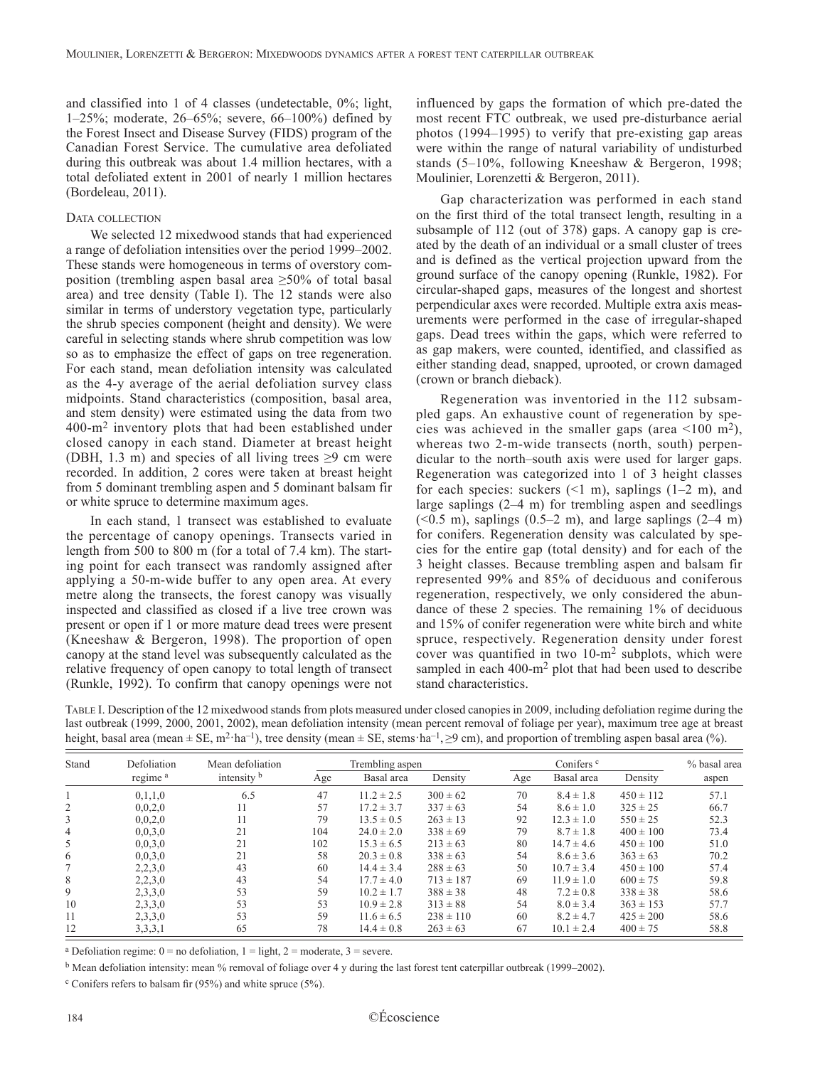and classified into 1 of 4 classes (undetectable, 0%; light, 1–25%; moderate, 26–65%; severe, 66–100%) defined by the Forest Insect and Disease Survey (FIDS) program of the Canadian Forest Service. The cumulative area defoliated during this outbreak was about 1.4 million hectares, with a total defoliated extent in 2001 of nearly 1 million hectares (Bordeleau, 2011).

## DATA COLLECTION

We selected 12 mixedwood stands that had experienced a range of defoliation intensities over the period 1999–2002. These stands were homogeneous in terms of overstory composition (trembling aspen basal area ≥50% of total basal area) and tree density (Table I). The 12 stands were also similar in terms of understory vegetation type, particularly the shrub species component (height and density). We were careful in selecting stands where shrub competition was low so as to emphasize the effect of gaps on tree regeneration. For each stand, mean defoliation intensity was calculated as the 4-y average of the aerial defoliation survey class midpoints. Stand characteristics (composition, basal area, and stem density) were estimated using the data from two 400-m2 inventory plots that had been established under closed canopy in each stand. Diameter at breast height (DBH, 1.3 m) and species of all living trees  $\geq$ 9 cm were recorded. In addition, 2 cores were taken at breast height from 5 dominant trembling aspen and 5 dominant balsam fir or white spruce to determine maximum ages.

In each stand, 1 transect was established to evaluate the percentage of canopy openings. Transects varied in length from 500 to 800 m (for a total of 7.4 km). The starting point for each transect was randomly assigned after applying a 50-m-wide buffer to any open area. At every metre along the transects, the forest canopy was visually inspected and classified as closed if a live tree crown was present or open if 1 or more mature dead trees were present (Kneeshaw & Bergeron, 1998). The proportion of open canopy at the stand level was subsequently calculated as the relative frequency of open canopy to total length of transect (Runkle, 1992). To confirm that canopy openings were not

influenced by gaps the formation of which pre-dated the most recent FTC outbreak, we used pre-disturbance aerial photos (1994–1995) to verify that pre-existing gap areas were within the range of natural variability of undisturbed stands (5–10%, following Kneeshaw & Bergeron, 1998; Moulinier, Lorenzetti & Bergeron, 2011).

Gap characterization was performed in each stand on the first third of the total transect length, resulting in a subsample of 112 (out of 378) gaps. A canopy gap is created by the death of an individual or a small cluster of trees and is defined as the vertical projection upward from the ground surface of the canopy opening (Runkle, 1982). For circular-shaped gaps, measures of the longest and shortest perpendicular axes were recorded. Multiple extra axis measurements were performed in the case of irregular-shaped gaps. Dead trees within the gaps, which were referred to as gap makers, were counted, identified, and classified as either standing dead, snapped, uprooted, or crown damaged (crown or branch dieback).

Regeneration was inventoried in the 112 subsampled gaps. An exhaustive count of regeneration by species was achieved in the smaller gaps (area  $\leq 100$  m<sup>2</sup>), whereas two 2-m-wide transects (north, south) perpendicular to the north–south axis were used for larger gaps. Regeneration was categorized into 1 of 3 height classes for each species: suckers  $(\leq 1 \text{ m})$ , saplings  $(1-2 \text{ m})$ , and large saplings (2–4 m) for trembling aspen and seedlings  $( $0.5 \text{ m}$ ), saplings  $(0.5-2 \text{ m})$ , and large saplings  $(2-4 \text{ m})$$ for conifers. Regeneration density was calculated by species for the entire gap (total density) and for each of the 3 height classes. Because trembling aspen and balsam fir represented 99% and 85% of deciduous and coniferous regeneration, respectively, we only considered the abundance of these 2 species. The remaining 1% of deciduous and 15% of conifer regeneration were white birch and white spruce, respectively. Regeneration density under forest cover was quantified in two 10-m2 subplots, which were sampled in each 400-m<sup>2</sup> plot that had been used to describe stand characteristics.

Table I. Description of the 12 mixedwood stands from plots measured under closed canopies in 2009, including defoliation regime during the last outbreak (1999, 2000, 2001, 2002), mean defoliation intensity (mean percent removal of foliage per year), maximum tree age at breast height, basal area (mean  $\pm$  SE, m<sup>2</sup>·ha<sup>-1</sup>), tree density (mean  $\pm$  SE, stems·ha<sup>-1</sup>,  $\geq$ 9 cm), and proportion of trembling aspen basal area (%).

| Stand          | Defoliation<br>regime <sup>a</sup> | Mean defoliation<br>intensity b | Trembling aspen |                |               | Conifers <sup>c</sup> |                |               | % basal area |
|----------------|------------------------------------|---------------------------------|-----------------|----------------|---------------|-----------------------|----------------|---------------|--------------|
|                |                                    |                                 | Age             | Basal area     | Density       | Age                   | Basal area     | Density       | aspen        |
|                | 0,1,1,0                            | 6.5                             | 47              | $11.2 \pm 2.5$ | $300 \pm 62$  | 70                    | $8.4 \pm 1.8$  | $450 \pm 112$ | 57.1         |
|                | 0,0,2,0                            |                                 | 57              | $17.2 \pm 3.7$ | $337 \pm 63$  | 54                    | $8.6 \pm 1.0$  | $325 \pm 25$  | 66.7         |
| 3              | 0,0,2,0                            | 11                              | 79              | $13.5 \pm 0.5$ | $263 \pm 13$  | 92                    | $12.3 \pm 1.0$ | $550 \pm 25$  | 52.3         |
| $\overline{4}$ | 0.0.3.0                            | 21                              | 104             | $24.0 \pm 2.0$ | $338 \pm 69$  | 79                    | $8.7 \pm 1.8$  | $400 \pm 100$ | 73.4         |
| 5              | 0,0,3,0                            | 21                              | 102             | $15.3 \pm 6.5$ | $213 \pm 63$  | 80                    | $14.7 \pm 4.6$ | $450 \pm 100$ | 51.0         |
| 6              | 0,0,3,0                            | 21                              | 58              | $20.3 \pm 0.8$ | $338 \pm 63$  | 54                    | $8.6 \pm 3.6$  | $363 \pm 63$  | 70.2         |
|                | 2,2,3,0                            | 43                              | 60              | $14.4 \pm 3.4$ | $288 \pm 63$  | 50                    | $10.7 \pm 3.4$ | $450 \pm 100$ | 57.4         |
| 8              | 2,2,3,0                            | 43                              | 54              | $17.7 \pm 4.0$ | $713 \pm 187$ | 69                    | $11.9 \pm 1.0$ | $600 \pm 75$  | 59.8         |
| 9              | 2,3,3,0                            | 53                              | 59              | $10.2 \pm 1.7$ | $388 \pm 38$  | 48                    | $7.2 \pm 0.8$  | $338 \pm 38$  | 58.6         |
| 10             | 2,3,3,0                            | 53                              | 53              | $10.9 \pm 2.8$ | $313 \pm 88$  | 54                    | $8.0 \pm 3.4$  | $363 \pm 153$ | 57.7         |
| 11             | 2,3,3,0                            | 53                              | 59              | $11.6 \pm 6.5$ | $238 \pm 110$ | 60                    | $8.2 \pm 4.7$  | $425 \pm 200$ | 58.6         |
| 12             | 3,3,3,1                            | 65                              | 78              | $14.4 \pm 0.8$ | $263 \pm 63$  | 67                    | $10.1 \pm 2.4$ | $400 \pm 75$  | 58.8         |

<sup>a</sup> Defoliation regime:  $0 =$  no defoliation,  $1 =$  light,  $2 =$  moderate,  $3 =$  severe.

<sup>b</sup> Mean defoliation intensity: mean % removal of foliage over 4 y during the last forest tent caterpillar outbreak (1999–2002).

 $\text{c}$  Conifers refers to balsam fir (95%) and white spruce (5%).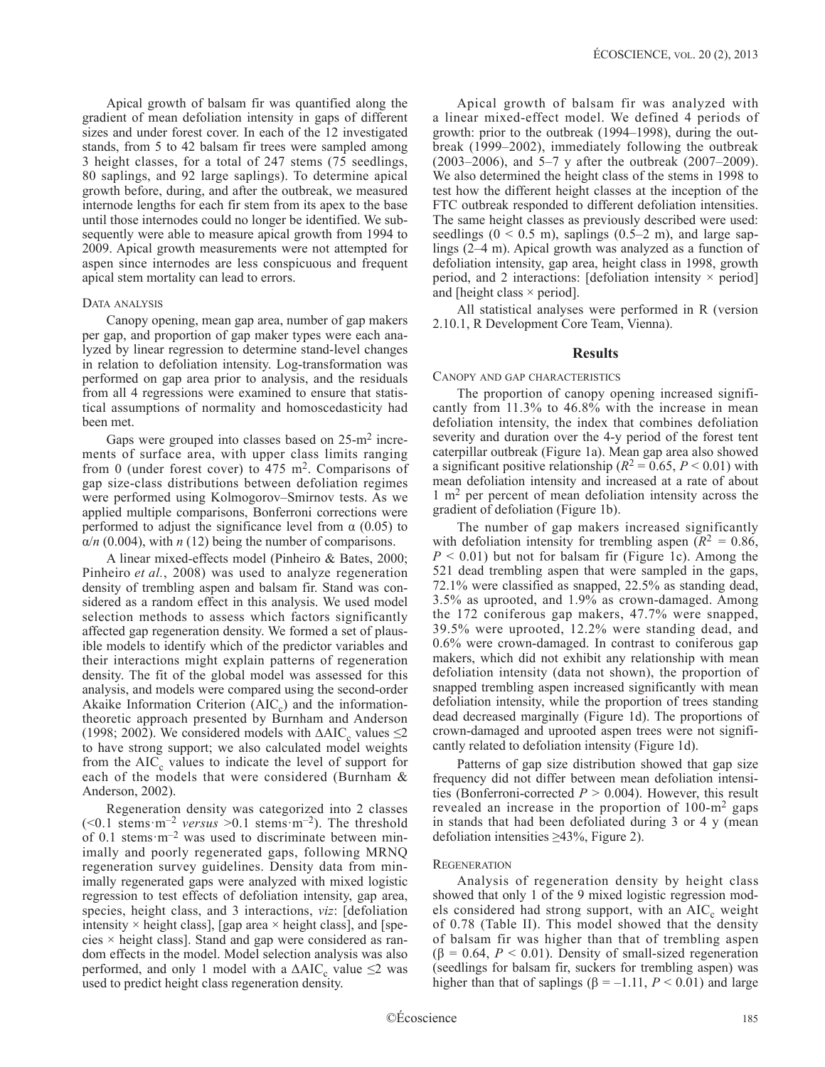Apical growth of balsam fir was quantified along the gradient of mean defoliation intensity in gaps of different sizes and under forest cover. In each of the 12 investigated stands, from 5 to 42 balsam fir trees were sampled among 3 height classes, for a total of 247 stems (75 seedlings, 80 saplings, and 92 large saplings). To determine apical growth before, during, and after the outbreak, we measured internode lengths for each fir stem from its apex to the base until those internodes could no longer be identified. We subsequently were able to measure apical growth from 1994 to 2009. Apical growth measurements were not attempted for aspen since internodes are less conspicuous and frequent apical stem mortality can lead to errors.

## DATA ANALYSIS

Canopy opening, mean gap area, number of gap makers per gap, and proportion of gap maker types were each analyzed by linear regression to determine stand-level changes in relation to defoliation intensity. Log-transformation was performed on gap area prior to analysis, and the residuals from all 4 regressions were examined to ensure that statistical assumptions of normality and homoscedasticity had been met.

Gaps were grouped into classes based on 25-m<sup>2</sup> increments of surface area, with upper class limits ranging from 0 (under forest cover) to  $475 \text{ m}^2$ . Comparisons of gap size-class distributions between defoliation regimes were performed using Kolmogorov–Smirnov tests. As we applied multiple comparisons, Bonferroni corrections were performed to adjust the significance level from  $\alpha$  (0.05) to  $\alpha/n$  (0.004), with *n* (12) being the number of comparisons.

A linear mixed-effects model (Pinheiro & Bates, 2000; Pinheiro *et al.*, 2008) was used to analyze regeneration density of trembling aspen and balsam fir. Stand was considered as a random effect in this analysis. We used model selection methods to assess which factors significantly affected gap regeneration density. We formed a set of plausible models to identify which of the predictor variables and their interactions might explain patterns of regeneration density. The fit of the global model was assessed for this analysis, and models were compared using the second-order Akaike Information Criterion  $(AIC<sub>c</sub>)$  and the informationtheoretic approach presented by Burnham and Anderson (1998; 2002). We considered models with  $\triangle AIC_c$  values ≤2 to have strong support; we also calculated model weights from the  $AIC_c$  values to indicate the level of support for each of the models that were considered (Burnham & Anderson, 2002).

Regeneration density was categorized into 2 classes  $(< 0.1$  stems m<sup>-2</sup> *versus* > 0.1 stems m<sup>-2</sup>). The threshold of 0.1 stems·m–2 was used to discriminate between minimally and poorly regenerated gaps, following MRNQ regeneration survey guidelines. Density data from minimally regenerated gaps were analyzed with mixed logistic regression to test effects of defoliation intensity, gap area, species, height class, and 3 interactions, *viz*: [defoliation intensity  $\times$  height class], [gap area  $\times$  height class], and [species × height class]. Stand and gap were considered as random effects in the model. Model selection analysis was also performed, and only 1 model with a  $\Delta AIC_c$  value  $\leq$ 2 was used to predict height class regeneration density.

Apical growth of balsam fir was analyzed with a linear mixed-effect model. We defined 4 periods of growth: prior to the outbreak (1994–1998), during the outbreak (1999–2002), immediately following the outbreak (2003–2006), and 5–7 y after the outbreak (2007–2009). We also determined the height class of the stems in 1998 to test how the different height classes at the inception of the FTC outbreak responded to different defoliation intensities. The same height classes as previously described were used: seedlings ( $0 \le 0.5$  m), saplings ( $0.5-2$  m), and large saplings (2–4 m). Apical growth was analyzed as a function of defoliation intensity, gap area, height class in 1998, growth period, and 2 interactions: [defoliation intensity  $\times$  period] and [height class  $\times$  period].

All statistical analyses were performed in R (version 2.10.1, R Development Core Team, Vienna).

# **Results**

Canopy and gap characteristics

The proportion of canopy opening increased significantly from 11.3% to 46.8% with the increase in mean defoliation intensity, the index that combines defoliation severity and duration over the 4-y period of the forest tent caterpillar outbreak (Figure 1a). Mean gap area also showed a significant positive relationship ( $R^2 = 0.65$ ,  $P < 0.01$ ) with mean defoliation intensity and increased at a rate of about 1 m2 per percent of mean defoliation intensity across the gradient of defoliation (Figure 1b).

The number of gap makers increased significantly with defoliation intensity for trembling aspen ( $R^2 = 0.86$ ,  $P < 0.01$ ) but not for balsam fir (Figure 1c). Among the 521 dead trembling aspen that were sampled in the gaps, 72.1% were classified as snapped, 22.5% as standing dead, 3.5% as uprooted, and 1.9% as crown-damaged. Among the 172 coniferous gap makers, 47.7% were snapped, 39.5% were uprooted, 12.2% were standing dead, and 0.6% were crown-damaged. In contrast to coniferous gap makers, which did not exhibit any relationship with mean defoliation intensity (data not shown), the proportion of snapped trembling aspen increased significantly with mean defoliation intensity, while the proportion of trees standing dead decreased marginally (Figure 1d). The proportions of crown-damaged and uprooted aspen trees were not significantly related to defoliation intensity (Figure 1d).

Patterns of gap size distribution showed that gap size frequency did not differ between mean defoliation intensities (Bonferroni-corrected *P* > 0.004). However, this result revealed an increase in the proportion of 100-m2 gaps in stands that had been defoliated during 3 or 4 y (mean defoliation intensities ≥43%, Figure 2).

## **REGENERATION**

Analysis of regeneration density by height class showed that only 1 of the 9 mixed logistic regression models considered had strong support, with an  $AIC_c$  weight of 0.78 (Table II). This model showed that the density of balsam fir was higher than that of trembling aspen ( $\beta$  = 0.64, *P* < 0.01). Density of small-sized regeneration (seedlings for balsam fir, suckers for trembling aspen) was higher than that of saplings ( $\beta$  = –1.11, *P* < 0.01) and large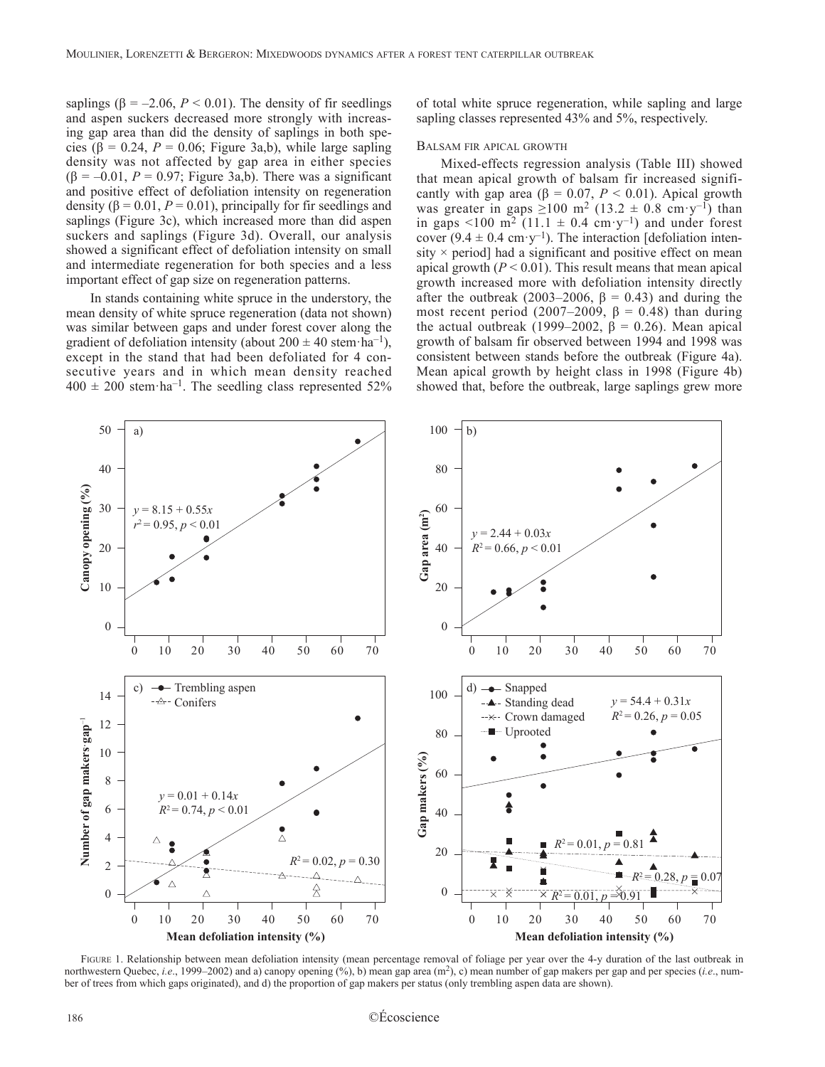saplings ( $\beta$  = –2.06, *P* < 0.01). The density of fir seedlings and aspen suckers decreased more strongly with increasing gap area than did the density of saplings in both species ( $\beta$  = 0.24, *P* = 0.06; Figure 3a,b), while large sapling density was not affected by gap area in either species  $(\beta = -0.01, P = 0.97;$  Figure 3a,b). There was a significant and positive effect of defoliation intensity on regeneration density  $(\beta = 0.01, P = 0.01)$ , principally for fir seedlings and saplings (Figure 3c), which increased more than did aspen suckers and saplings (Figure 3d). Overall, our analysis showed a significant effect of defoliation intensity on small and intermediate regeneration for both species and a less important effect of gap size on regeneration patterns.

In stands containing white spruce in the understory, the mean density of white spruce regeneration (data not shown) was similar between gaps and under forest cover along the gradient of defoliation intensity (about  $200 \pm 40$  stem·ha<sup>-1</sup>), except in the stand that had been defoliated for 4 consecutive years and in which mean density reached  $400 \pm 200$  stem·ha<sup>-1</sup>. The seedling class represented 52% of total white spruce regeneration, while sapling and large sapling classes represented 43% and 5%, respectively.

#### Balsam fir apical growth

Mixed-effects regression analysis (Table III) showed that mean apical growth of balsam fir increased significantly with gap area ( $\beta$  = 0.07, *P* < 0.01). Apical growth was greater in gaps  $\geq 100$  m<sup>2</sup> (13.2  $\pm$  0.8 cm·y<sup>-1</sup>) than in gaps <100 m<sup>2</sup> (11.1  $\pm$  0.4 cm·y<sup>-1</sup>) and under forest cover  $(9.4 \pm 0.4 \text{ cm} \cdot \text{y}^{-1})$ . The interaction [defoliation intensity  $\times$  period] had a significant and positive effect on mean apical growth  $(P < 0.01)$ . This result means that mean apical growth increased more with defoliation intensity directly after the outbreak (2003–2006,  $\beta = 0.43$ ) and during the most recent period (2007–2009, β = 0.48) than during the actual outbreak (1999–2002,  $β = 0.26$ ). Mean apical growth of balsam fir observed between 1994 and 1998 was consistent between stands before the outbreak (Figure 4a). Mean apical growth by height class in 1998 (Figure 4b) showed that, before the outbreak, large saplings grew more



FIGURE 1. Relationship between mean defoliation intensity (mean percentage removal of foliage per year over the 4-y duration of the last outbreak in northwestern Quebec, *i.e.*, 1999–2002) and a) canopy opening (%), b) mean gap area (m<sup>2</sup>), c) mean number of gap makers per gap and per species (*i.e.*, number of trees from which gaps originated), and d) the proportion of gap makers per status (only trembling aspen data are shown).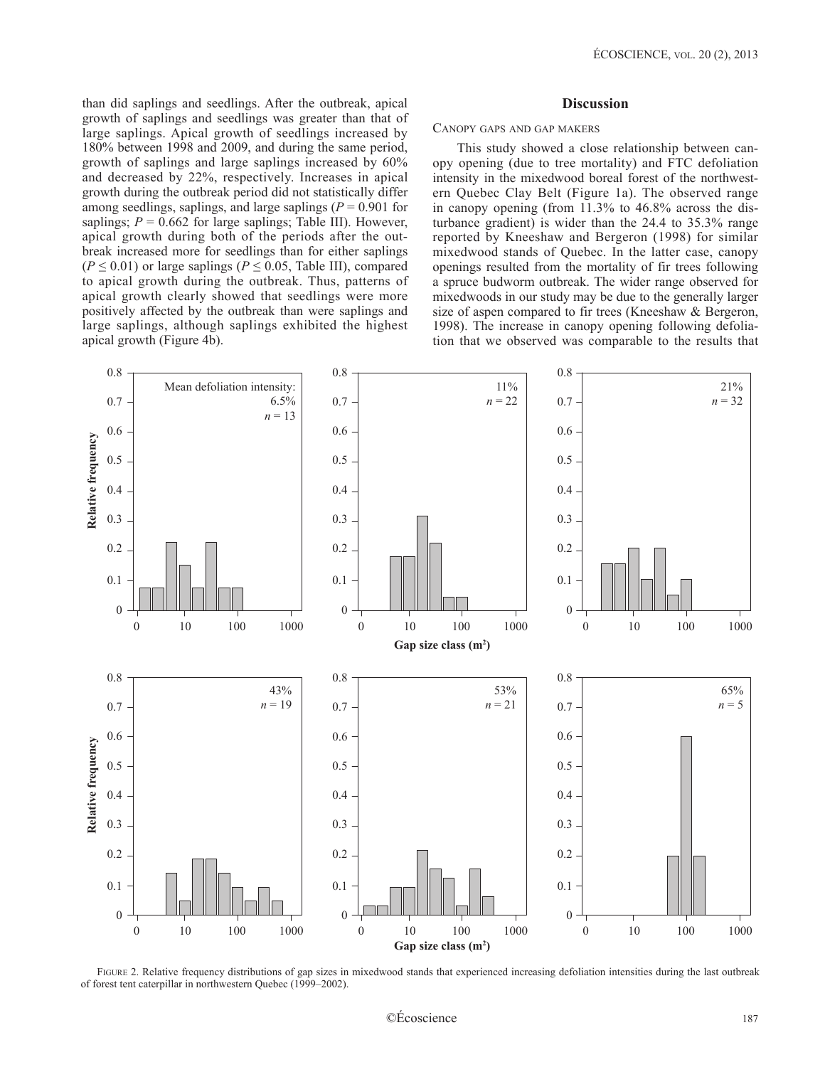than did saplings and seedlings. After the outbreak, apical growth of saplings and seedlings was greater than that of large saplings. Apical growth of seedlings increased by 180% between 1998 and 2009, and during the same period, growth of saplings and large saplings increased by 60% and decreased by 22%, respectively. Increases in apical growth during the outbreak period did not statistically differ among seedlings, saplings, and large saplings ( $P = 0.901$  for saplings;  $P = 0.662$  for large saplings; Table III). However, apical growth during both of the periods after the outbreak increased more for seedlings than for either saplings  $(P \le 0.01)$  or large saplings ( $P \le 0.05$ , Table III), compared to apical growth during the outbreak. Thus, patterns of apical growth clearly showed that seedlings were more positively affected by the outbreak than were saplings and large saplings, although saplings exhibited the highest apical growth (Figure 4b).

## **Discussion**

## Canopy gaps and gap makers

This study showed a close relationship between canopy opening (due to tree mortality) and FTC defoliation intensity in the mixedwood boreal forest of the northwestern Quebec Clay Belt (Figure 1a). The observed range in canopy opening (from 11.3% to 46.8% across the disturbance gradient) is wider than the 24.4 to 35.3% range reported by Kneeshaw and Bergeron (1998) for similar mixedwood stands of Quebec. In the latter case, canopy openings resulted from the mortality of fir trees following a spruce budworm outbreak. The wider range observed for mixedwoods in our study may be due to the generally larger size of aspen compared to fir trees (Kneeshaw & Bergeron, 1998). The increase in canopy opening following defoliation that we observed was comparable to the results that



FIGURE 2. Relative frequency distributions of gap sizes in mixedwood stands that experienced increasing defoliation intensities during the last outbreak of forest tent caterpillar in northwestern Quebec (1999–2002).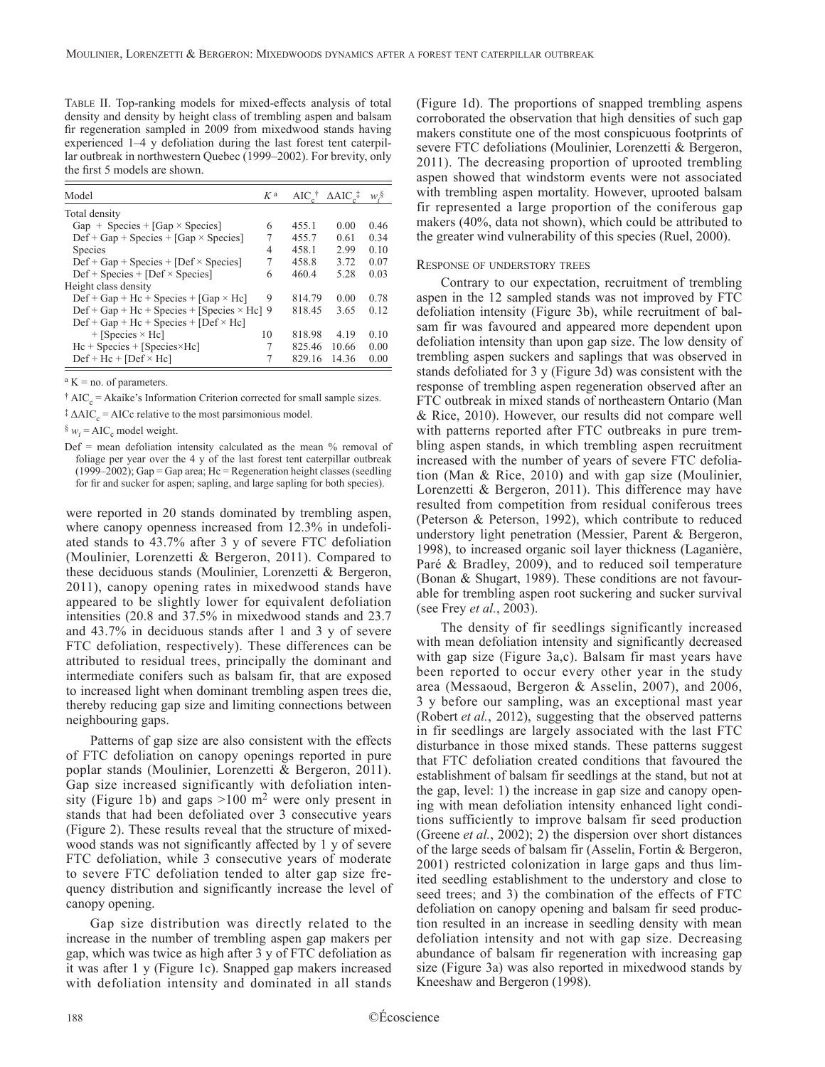Table II. Top-ranking models for mixed-effects analysis of total density and density by height class of trembling aspen and balsam fir regeneration sampled in 2009 from mixedwood stands having experienced 1–4 y defoliation during the last forest tent caterpillar outbreak in northwestern Quebec (1999–2002). For brevity, only the first 5 models are shown.

| Model                                              | $K^{\rm a}$ |        | $AIC_{c}^{\dagger} \Delta AIC_{c}^{\dagger}$ | $W^{\text{S}}$ |  |
|----------------------------------------------------|-------------|--------|----------------------------------------------|----------------|--|
| Total density                                      |             |        |                                              |                |  |
| $Gap + Species + [Gap \times Species]$             | 6           | 455.1  | 0.00                                         | 0.46           |  |
| $Def + Gap + Species + [Gap \times Species]$       | 7           | 455.7  | 0.61                                         | 0.34           |  |
| <b>Species</b>                                     | 4           | 458.1  | 2.99                                         | 0.10           |  |
| $Def + Gap + Species + [Def \times Species]$       | 7           | 458.8  | 3.72                                         | 0.07           |  |
| $Def + Species + [Def \times Species]$             | 6           | 460.4  | 5.28                                         | 0.03           |  |
| Height class density                               |             |        |                                              |                |  |
| $Def + Gap + Hc + Species + [Gap \times He]$       | 9           | 814.79 | 0.00                                         | 0.78           |  |
| $Def + Gap + Hc + Species + [Species \times He]$ 9 |             | 818.45 | 3.65                                         | 0.12           |  |
| $Def + Gap + Hc + Species + [Def \times He]$       |             |        |                                              |                |  |
| $+$ [Species $\times$ Hc]                          | 10          | 818.98 | 4.19                                         | 0.10           |  |
| $Hc + Species + [Species \times He]$               | 7           | 825.46 | 10.66                                        | 0.00           |  |
| $Def + He + [Def \times He]$                       | 7           | 829.16 | 14.36                                        | 0.00           |  |

 $A K = n \cdot o$ . of parameters.

 $\dagger$  AIC<sub>c</sub> = Akaike's Information Criterion corrected for small sample sizes.

 $\pm \Delta AIC_c = AICc$  relative to the most parsimonious model.

 $\delta w_i = AIC_c$  model weight.

Def = mean defoliation intensity calculated as the mean % removal of foliage per year over the 4 y of the last forest tent caterpillar outbreak (1999–2002); Gap = Gap area; Hc = Regeneration height classes (seedling for fir and sucker for aspen; sapling, and large sapling for both species).

were reported in 20 stands dominated by trembling aspen, where canopy openness increased from 12.3% in undefoliated stands to 43.7% after 3 y of severe FTC defoliation (Moulinier, Lorenzetti & Bergeron, 2011). Compared to these deciduous stands (Moulinier, Lorenzetti & Bergeron, 2011), canopy opening rates in mixedwood stands have appeared to be slightly lower for equivalent defoliation intensities (20.8 and 37.5% in mixedwood stands and 23.7 and 43.7% in deciduous stands after 1 and 3 y of severe FTC defoliation, respectively). These differences can be attributed to residual trees, principally the dominant and intermediate conifers such as balsam fir, that are exposed to increased light when dominant trembling aspen trees die, thereby reducing gap size and limiting connections between neighbouring gaps.

Patterns of gap size are also consistent with the effects of FTC defoliation on canopy openings reported in pure poplar stands (Moulinier, Lorenzetti & Bergeron, 2011). Gap size increased significantly with defoliation intensity (Figure 1b) and gaps  $>100$  m<sup>2</sup> were only present in stands that had been defoliated over 3 consecutive years (Figure 2). These results reveal that the structure of mixedwood stands was not significantly affected by 1 y of severe FTC defoliation, while 3 consecutive years of moderate to severe FTC defoliation tended to alter gap size frequency distribution and significantly increase the level of canopy opening.

Gap size distribution was directly related to the increase in the number of trembling aspen gap makers per gap, which was twice as high after 3 y of FTC defoliation as it was after 1 y (Figure 1c). Snapped gap makers increased with defoliation intensity and dominated in all stands

(Figure 1d). The proportions of snapped trembling aspens corroborated the observation that high densities of such gap makers constitute one of the most conspicuous footprints of severe FTC defoliations (Moulinier, Lorenzetti & Bergeron, 2011). The decreasing proportion of uprooted trembling aspen showed that windstorm events were not associated with trembling aspen mortality. However, uprooted balsam fir represented a large proportion of the coniferous gap makers (40%, data not shown), which could be attributed to the greater wind vulnerability of this species (Ruel, 2000).

#### Response of understory trees

Contrary to our expectation, recruitment of trembling aspen in the 12 sampled stands was not improved by FTC defoliation intensity (Figure 3b), while recruitment of balsam fir was favoured and appeared more dependent upon defoliation intensity than upon gap size. The low density of trembling aspen suckers and saplings that was observed in stands defoliated for 3 y (Figure 3d) was consistent with the response of trembling aspen regeneration observed after an FTC outbreak in mixed stands of northeastern Ontario (Man & Rice, 2010). However, our results did not compare well with patterns reported after FTC outbreaks in pure trembling aspen stands, in which trembling aspen recruitment increased with the number of years of severe FTC defoliation (Man & Rice, 2010) and with gap size (Moulinier, Lorenzetti & Bergeron, 2011). This difference may have resulted from competition from residual coniferous trees (Peterson & Peterson, 1992), which contribute to reduced understory light penetration (Messier, Parent & Bergeron, 1998), to increased organic soil layer thickness (Laganière, Paré & Bradley, 2009), and to reduced soil temperature (Bonan & Shugart, 1989). These conditions are not favourable for trembling aspen root suckering and sucker survival (see Frey *et al.*, 2003).

The density of fir seedlings significantly increased with mean defoliation intensity and significantly decreased with gap size (Figure 3a,c). Balsam fir mast years have been reported to occur every other year in the study area (Messaoud, Bergeron & Asselin, 2007), and 2006, 3 y before our sampling, was an exceptional mast year (Robert *et al.*, 2012), suggesting that the observed patterns in fir seedlings are largely associated with the last FTC disturbance in those mixed stands. These patterns suggest that FTC defoliation created conditions that favoured the establishment of balsam fir seedlings at the stand, but not at the gap, level: 1) the increase in gap size and canopy opening with mean defoliation intensity enhanced light conditions sufficiently to improve balsam fir seed production (Greene *et al.*, 2002); 2) the dispersion over short distances of the large seeds of balsam fir (Asselin, Fortin & Bergeron, 2001) restricted colonization in large gaps and thus limited seedling establishment to the understory and close to seed trees; and 3) the combination of the effects of FTC defoliation on canopy opening and balsam fir seed production resulted in an increase in seedling density with mean defoliation intensity and not with gap size. Decreasing abundance of balsam fir regeneration with increasing gap size (Figure 3a) was also reported in mixedwood stands by Kneeshaw and Bergeron (1998).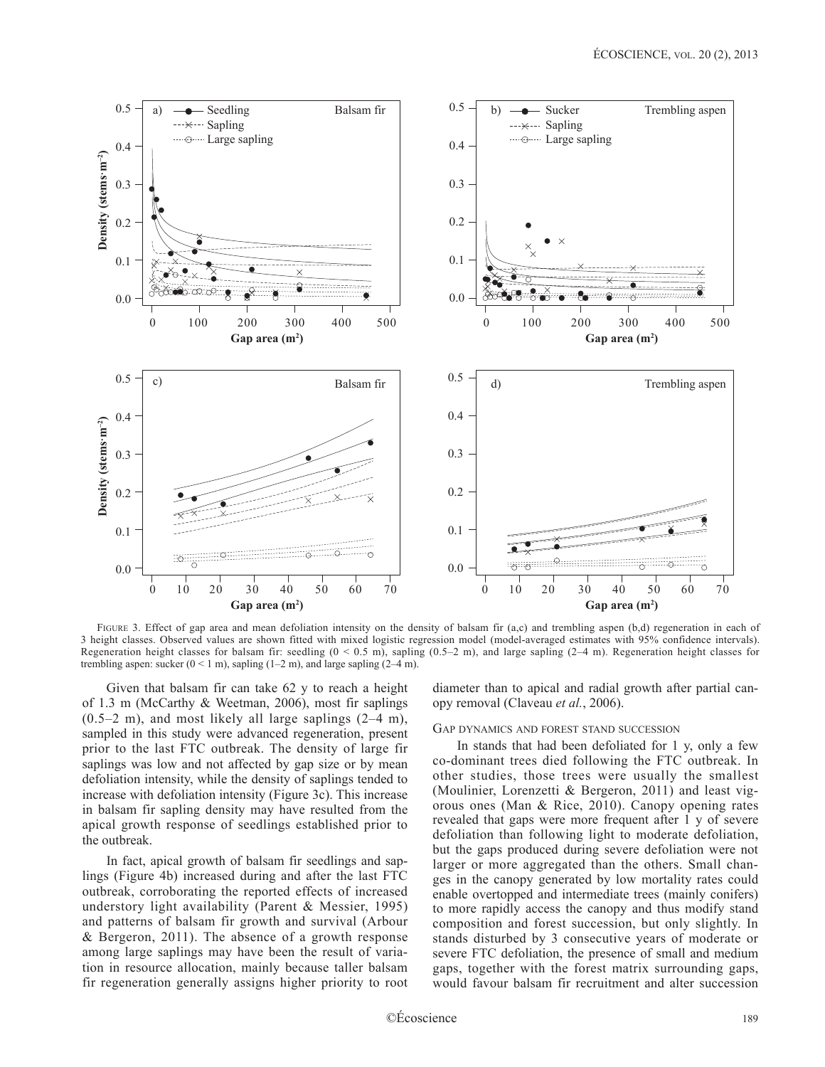

FIGURE 3. Effect of gap area and mean defoliation intensity on the density of balsam fir (a,c) and trembling aspen (b,d) regeneration in each of 3 height classes. Observed values are shown fitted with mixed logistic regression model (model-averaged estimates with 95% confidence intervals). Regeneration height classes for balsam fir: seedling  $(0 \le 0.5 \text{ m})$ , sapling  $(0.5-2 \text{ m})$ , and large sapling  $(2-4 \text{ m})$ . Regeneration height classes for trembling aspen: sucker  $(0 < 1 \text{ m})$ , sapling  $(1-2 \text{ m})$ , and large sapling  $(2-4 \text{ m})$ .

Given that balsam fir can take 62 y to reach a height of 1.3 m (McCarthy & Weetman, 2006), most fir saplings  $(0.5-2 \text{ m})$ , and most likely all large saplings  $(2-4 \text{ m})$ , sampled in this study were advanced regeneration, present prior to the last FTC outbreak. The density of large fir saplings was low and not affected by gap size or by mean defoliation intensity, while the density of saplings tended to increase with defoliation intensity (Figure 3c). This increase in balsam fir sapling density may have resulted from the apical growth response of seedlings established prior to the outbreak.

In fact, apical growth of balsam fir seedlings and saplings (Figure 4b) increased during and after the last FTC outbreak, corroborating the reported effects of increased understory light availability (Parent & Messier, 1995) and patterns of balsam fir growth and survival (Arbour & Bergeron, 2011). The absence of a growth response among large saplings may have been the result of variation in resource allocation, mainly because taller balsam fir regeneration generally assigns higher priority to root diameter than to apical and radial growth after partial canopy removal (Claveau *et al.*, 2006).

#### Gap dynamics and forest stand succession

In stands that had been defoliated for 1 y, only a few co-dominant trees died following the FTC outbreak. In other studies, those trees were usually the smallest (Moulinier, Lorenzetti & Bergeron, 2011) and least vigorous ones (Man & Rice, 2010). Canopy opening rates revealed that gaps were more frequent after 1 y of severe defoliation than following light to moderate defoliation, but the gaps produced during severe defoliation were not larger or more aggregated than the others. Small changes in the canopy generated by low mortality rates could enable overtopped and intermediate trees (mainly conifers) to more rapidly access the canopy and thus modify stand composition and forest succession, but only slightly. In stands disturbed by 3 consecutive years of moderate or severe FTC defoliation, the presence of small and medium gaps, together with the forest matrix surrounding gaps, would favour balsam fir recruitment and alter succession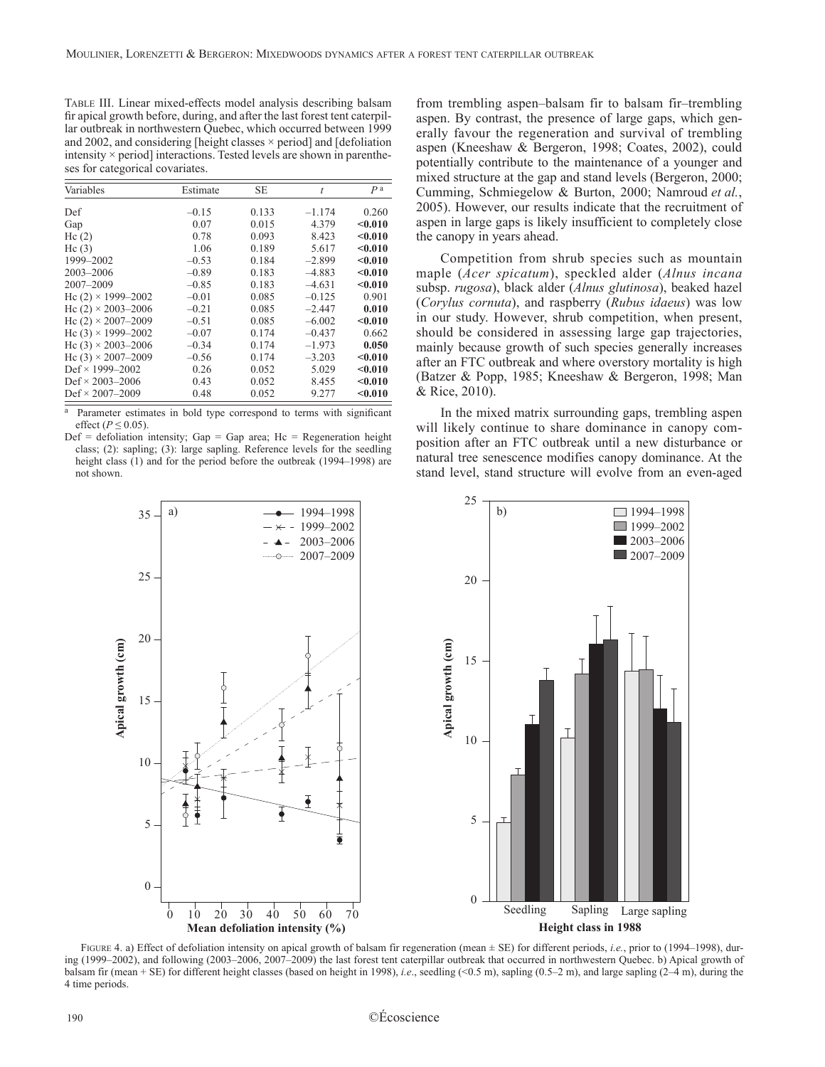Table III. Linear mixed-effects model analysis describing balsam fir apical growth before, during, and after the last forest tent caterpillar outbreak in northwestern Quebec, which occurred between 1999 and 2002, and considering [height classes  $\times$  period] and [defoliation intensity  $\times$  period] interactions. Tested levels are shown in parentheses for categorical covariates.

| Variables                   | Estimate | <b>SE</b> | t        | P <sub>a</sub> |
|-----------------------------|----------|-----------|----------|----------------|
| Def                         | $-0.15$  | 0.133     | $-1.174$ | 0.260          |
| Gap                         | 0.07     | 0.015     | 4.379    | < 0.010        |
| Hc(2)                       | 0.78     | 0.093     | 8.423    | < 0.010        |
| Hc(3)                       | 1.06     | 0.189     | 5.617    | < 0.010        |
| 1999-2002                   | $-0.53$  | 0.184     | $-2.899$ | < 0.010        |
| $2003 - 2006$               | $-0.89$  | 0.183     | $-4.883$ | < 0.010        |
| $2007 - 2009$               | $-0.85$  | 0.183     | $-4.631$ | < 0.010        |
| Hc $(2) \times 1999 - 2002$ | $-0.01$  | 0.085     | $-0.125$ | 0.901          |
| Hc $(2) \times 2003 - 2006$ | $-0.21$  | 0.085     | $-2.447$ | 0.010          |
| Hc $(2) \times 2007 - 2009$ | $-0.51$  | 0.085     | $-6.002$ | < 0.010        |
| Hc $(3) \times 1999 - 2002$ | $-0.07$  | 0.174     | $-0.437$ | 0.662          |
| Hc $(3) \times 2003 - 2006$ | $-0.34$  | 0.174     | $-1.973$ | 0.050          |
| Hc $(3) \times 2007 - 2009$ | $-0.56$  | 0.174     | $-3.203$ | < 0.010        |
| $Def \times 1999 - 2002$    | 0.26     | 0.052     | 5.029    | < 0.010        |
| $Def \times 2003 - 2006$    | 0.43     | 0.052     | 8.455    | < 0.010        |
| $Def \times 2007 - 2009$    | 0.48     | 0.052     | 9.277    | < 0.010        |

<sup>a</sup> Parameter estimates in bold type correspond to terms with significant effect  $(P \le 0.05)$ 

 $Def = definition$  intensity;  $Gap = Gap$  area;  $Hc = Regeneration$  height class; (2): sapling; (3): large sapling. Reference levels for the seedling height class (1) and for the period before the outbreak (1994–1998) are not shown.

from trembling aspen–balsam fir to balsam fir–trembling aspen. By contrast, the presence of large gaps, which generally favour the regeneration and survival of trembling aspen (Kneeshaw & Bergeron, 1998; Coates, 2002), could potentially contribute to the maintenance of a younger and mixed structure at the gap and stand levels (Bergeron, 2000; Cumming, Schmiegelow & Burton, 2000; Namroud *et al.*, 2005). However, our results indicate that the recruitment of aspen in large gaps is likely insufficient to completely close the canopy in years ahead.

Competition from shrub species such as mountain maple (*Acer spicatum*), speckled alder (*Alnus incana* subsp. *rugosa*), black alder (*Alnus glutinosa*), beaked hazel (*Corylus cornuta*), and raspberry (*Rubus idaeus*) was low in our study. However, shrub competition, when present, should be considered in assessing large gap trajectories, mainly because growth of such species generally increases after an FTC outbreak and where overstory mortality is high (Batzer & Popp, 1985; Kneeshaw & Bergeron, 1998; Man & Rice, 2010).

In the mixed matrix surrounding gaps, trembling aspen will likely continue to share dominance in canopy composition after an FTC outbreak until a new disturbance or natural tree senescence modifies canopy dominance. At the stand level, stand structure will evolve from an even-aged



FIGURE 4. a) Effect of defoliation intensity on apical growth of balsam fir regeneration (mean  $\pm$  SE) for different periods, *i.e.*, prior to (1994–1998), during (1999–2002), and following (2003–2006, 2007–2009) the last forest tent caterpillar outbreak that occurred in northwestern Quebec. b) Apical growth of balsam fir (mean + SE) for different height classes (based on height in 1998), *i.e.*, seedling (<0.5 m), sapling (0.5–2 m), and large sapling (2–4 m), during the 4 time periods.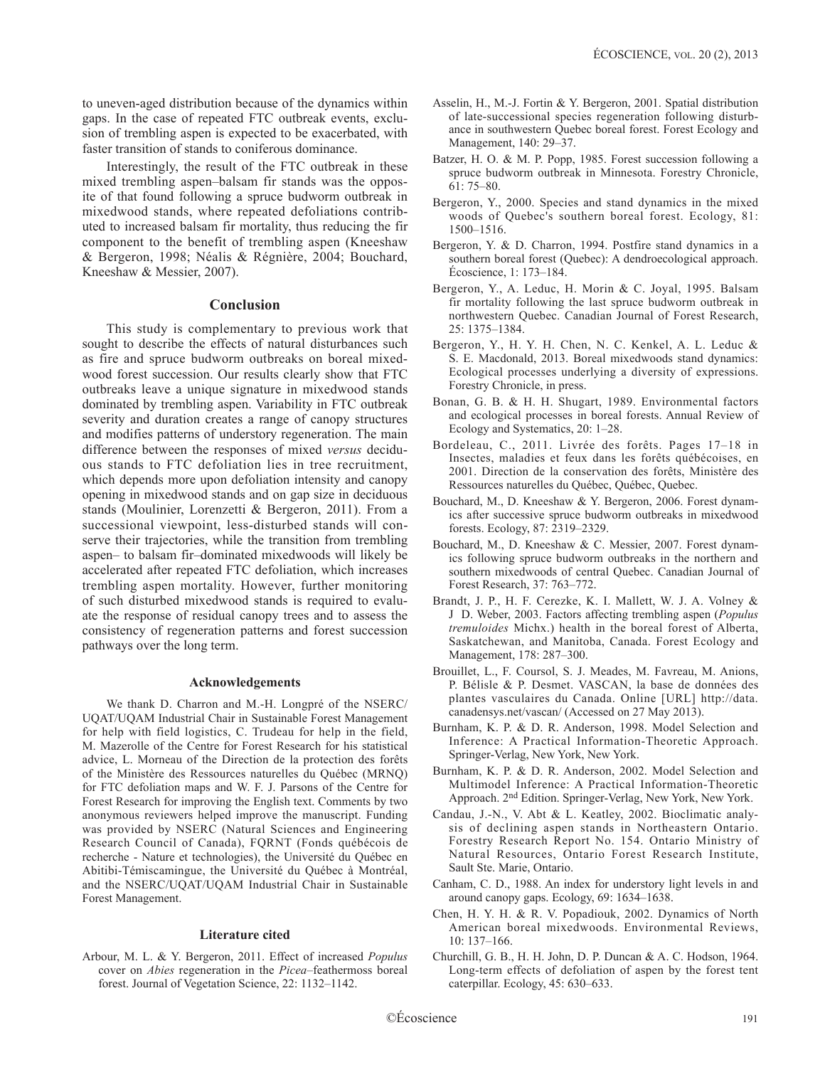to uneven-aged distribution because of the dynamics within gaps. In the case of repeated FTC outbreak events, exclusion of trembling aspen is expected to be exacerbated, with faster transition of stands to coniferous dominance.

Interestingly, the result of the FTC outbreak in these mixed trembling aspen–balsam fir stands was the opposite of that found following a spruce budworm outbreak in mixedwood stands, where repeated defoliations contributed to increased balsam fir mortality, thus reducing the fir component to the benefit of trembling aspen (Kneeshaw & Bergeron, 1998; Néalis & Régnière, 2004; Bouchard, Kneeshaw & Messier, 2007).

#### **Conclusion**

This study is complementary to previous work that sought to describe the effects of natural disturbances such as fire and spruce budworm outbreaks on boreal mixedwood forest succession. Our results clearly show that FTC outbreaks leave a unique signature in mixedwood stands dominated by trembling aspen. Variability in FTC outbreak severity and duration creates a range of canopy structures and modifies patterns of understory regeneration. The main difference between the responses of mixed *versus* deciduous stands to FTC defoliation lies in tree recruitment, which depends more upon defoliation intensity and canopy opening in mixedwood stands and on gap size in deciduous stands (Moulinier, Lorenzetti & Bergeron, 2011). From a successional viewpoint, less-disturbed stands will conserve their trajectories, while the transition from trembling aspen– to balsam fir–dominated mixedwoods will likely be accelerated after repeated FTC defoliation, which increases trembling aspen mortality. However, further monitoring of such disturbed mixedwood stands is required to evaluate the response of residual canopy trees and to assess the consistency of regeneration patterns and forest succession pathways over the long term.

#### **Acknowledgements**

We thank D. Charron and M.-H. Longpré of the NSERC/ UQAT/UQAM Industrial Chair in Sustainable Forest Management for help with field logistics, C. Trudeau for help in the field, M. Mazerolle of the Centre for Forest Research for his statistical advice, L. Morneau of the Direction de la protection des forêts of the Ministère des Ressources naturelles du Québec (MRNQ) for FTC defoliation maps and W. F. J. Parsons of the Centre for Forest Research for improving the English text. Comments by two anonymous reviewers helped improve the manuscript. Funding was provided by NSERC (Natural Sciences and Engineering Research Council of Canada), FQRNT (Fonds québécois de recherche - Nature et technologies), the Université du Québec en Abitibi-Témiscamingue, the Université du Québec à Montréal, and the NSERC/UQAT/UQAM Industrial Chair in Sustainable Forest Management.

#### **Literature cited**

Arbour, M. L. & Y. Bergeron, 2011. Effect of increased *Populus* cover on *Abies* regeneration in the *Picea*–feathermoss boreal forest. Journal of Vegetation Science, 22: 1132–1142.

- Asselin, H., M.-J. Fortin & Y. Bergeron, 2001. Spatial distribution of late-successional species regeneration following disturbance in southwestern Quebec boreal forest. Forest Ecology and Management, 140: 29–37.
- Batzer, H. O. & M. P. Popp, 1985. Forest succession following a spruce budworm outbreak in Minnesota. Forestry Chronicle, 61: 75–80.
- Bergeron, Y., 2000. Species and stand dynamics in the mixed woods of Quebec's southern boreal forest. Ecology, 81: 1500–1516.
- Bergeron, Y. & D. Charron, 1994. Postfire stand dynamics in a southern boreal forest (Quebec): A dendroecological approach. Écoscience, 1: 173–184.
- Bergeron, Y., A. Leduc, H. Morin & C. Joyal, 1995. Balsam fir mortality following the last spruce budworm outbreak in northwestern Quebec. Canadian Journal of Forest Research, 25: 1375–1384.
- Bergeron, Y., H. Y. H. Chen, N. C. Kenkel, A. L. Leduc & S. E. Macdonald, 2013. Boreal mixedwoods stand dynamics: Ecological processes underlying a diversity of expressions. Forestry Chronicle, in press.
- Bonan, G. B. & H. H. Shugart, 1989. Environmental factors and ecological processes in boreal forests. Annual Review of Ecology and Systematics, 20: 1–28.
- Bordeleau, C., 2011. Livrée des forêts. Pages 17–18 in Insectes, maladies et feux dans les forêts québécoises, en 2001. Direction de la conservation des forêts, Ministère des Ressources naturelles du Québec, Québec, Quebec.
- Bouchard, M., D. Kneeshaw & Y. Bergeron, 2006. Forest dynamics after successive spruce budworm outbreaks in mixedwood forests. Ecology, 87: 2319–2329.
- Bouchard, M., D. Kneeshaw & C. Messier, 2007. Forest dynamics following spruce budworm outbreaks in the northern and southern mixedwoods of central Quebec. Canadian Journal of Forest Research, 37: 763–772.
- Brandt, J. P., H. F. Cerezke, K. I. Mallett, W. J. A. Volney & J D. Weber, 2003. Factors affecting trembling aspen (*Populus tremuloides* Michx.) health in the boreal forest of Alberta, Saskatchewan, and Manitoba, Canada. Forest Ecology and Management, 178: 287–300.
- Brouillet, L., F. Coursol, S. J. Meades, M. Favreau, M. Anions, P. Bélisle & P. Desmet. VASCAN, la base de données des plantes vasculaires du Canada. Online [URL] [http://data.](http://data.canadensys.net/vascan/) [canadensys.net/vascan/](http://data.canadensys.net/vascan/) (Accessed on 27 May 2013).
- Burnham, K. P. & D. R. Anderson, 1998. Model Selection and Inference: A Practical Information-Theoretic Approach. Springer-Verlag, New York, New York.
- Burnham, K. P. & D. R. Anderson, 2002. Model Selection and Multimodel Inference: A Practical Information-Theoretic Approach. 2nd Edition. Springer-Verlag, New York, New York.
- Candau, J.-N., V. Abt & L. Keatley, 2002. Bioclimatic analysis of declining aspen stands in Northeastern Ontario. Forestry Research Report No. 154. Ontario Ministry of Natural Resources, Ontario Forest Research Institute, Sault Ste. Marie, Ontario.
- Canham, C. D., 1988. An index for understory light levels in and around canopy gaps. Ecology, 69: 1634–1638.
- Chen, H. Y. H. & R. V. Popadiouk, 2002. Dynamics of North American boreal mixedwoods. Environmental Reviews, 10: 137–166.
- Churchill, G. B., H. H. John, D. P. Duncan & A. C. Hodson, 1964. Long-term effects of defoliation of aspen by the forest tent caterpillar. Ecology, 45: 630–633.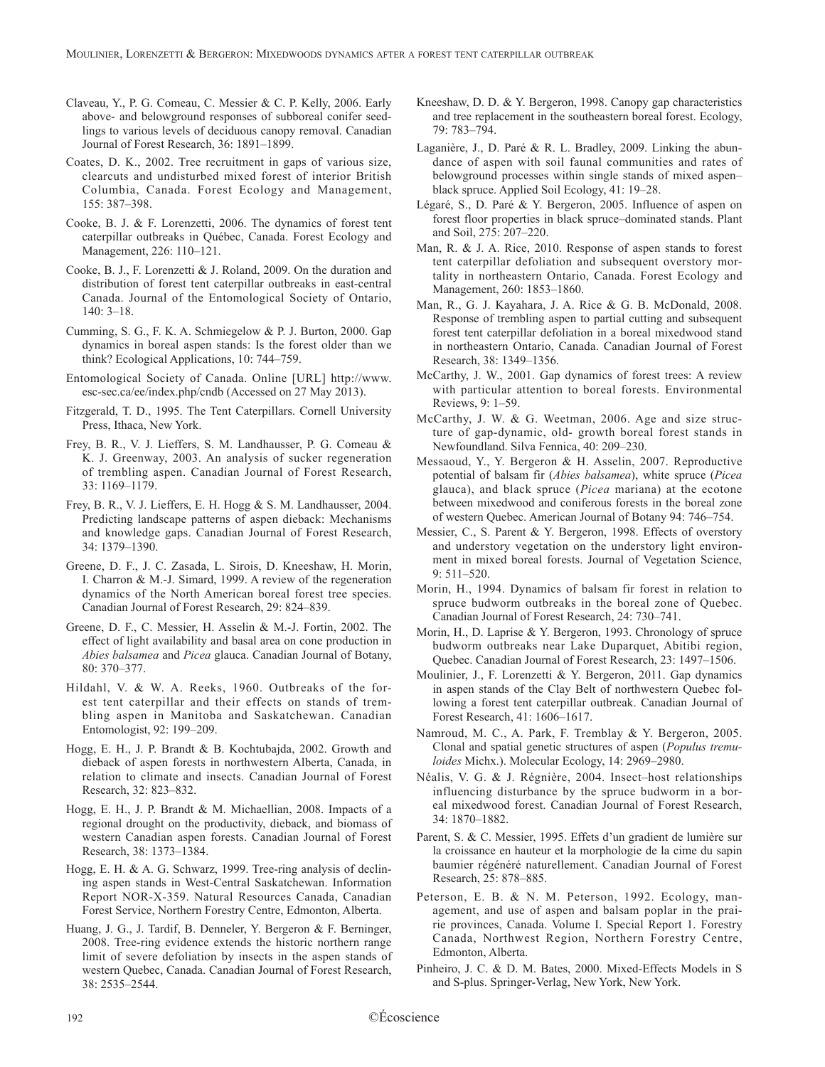- Claveau, Y., P. G. Comeau, C. Messier & C. P. Kelly, 2006. Early above- and belowground responses of subboreal conifer seedlings to various levels of deciduous canopy removal. Canadian Journal of Forest Research, 36: 1891–1899.
- Coates, D. K., 2002. Tree recruitment in gaps of various size, clearcuts and undisturbed mixed forest of interior British Columbia, Canada. Forest Ecology and Management, 155: 387–398.
- Cooke, B. J. & F. Lorenzetti, 2006. The dynamics of forest tent caterpillar outbreaks in Québec, Canada. Forest Ecology and Management, 226: 110–121.
- Cooke, B. J., F. Lorenzetti & J. Roland, 2009. On the duration and distribution of forest tent caterpillar outbreaks in east-central Canada. Journal of the Entomological Society of Ontario, 140: 3–18.
- Cumming, S. G., F. K. A. Schmiegelow & P. J. Burton, 2000. Gap dynamics in boreal aspen stands: Is the forest older than we think? Ecological Applications, 10: 744–759.
- Entomological Society of Canada. Online [URL] [http://www.](http://www.esc-sec.ca/ee/index.php/cndb) [esc-sec.ca/ee/index.php/cndb](http://www.esc-sec.ca/ee/index.php/cndb) (Accessed on 27 May 2013).
- Fitzgerald, T. D., 1995. The Tent Caterpillars. Cornell University Press, Ithaca, New York.
- Frey, B. R., V. J. Lieffers, S. M. Landhausser, P. G. Comeau & K. J. Greenway, 2003. An analysis of sucker regeneration of trembling aspen. Canadian Journal of Forest Research, 33: 1169–1179.
- Frey, B. R., V. J. Lieffers, E. H. Hogg & S. M. Landhausser, 2004. Predicting landscape patterns of aspen dieback: Mechanisms and knowledge gaps. Canadian Journal of Forest Research, 34: 1379–1390.
- Greene, D. F., J. C. Zasada, L. Sirois, D. Kneeshaw, H. Morin, I. Charron & M.-J. Simard, 1999. A review of the regeneration dynamics of the North American boreal forest tree species. Canadian Journal of Forest Research, 29: 824–839.
- Greene, D. F., C. Messier, H. Asselin & M.-J. Fortin, 2002. The effect of light availability and basal area on cone production in *Abies balsamea* and *Picea* glauca. Canadian Journal of Botany, 80: 370–377.
- Hildahl, V. & W. A. Reeks, 1960. Outbreaks of the forest tent caterpillar and their effects on stands of trembling aspen in Manitoba and Saskatchewan. Canadian Entomologist, 92: 199–209.
- Hogg, E. H., J. P. Brandt & B. Kochtubajda, 2002. Growth and dieback of aspen forests in northwestern Alberta, Canada, in relation to climate and insects. Canadian Journal of Forest Research, 32: 823–832.
- Hogg, E. H., J. P. Brandt & M. Michaellian, 2008. Impacts of a regional drought on the productivity, dieback, and biomass of western Canadian aspen forests. Canadian Journal of Forest Research, 38: 1373–1384.
- Hogg, E. H. & A. G. Schwarz, 1999. Tree-ring analysis of declining aspen stands in West-Central Saskatchewan. Information Report NOR-X-359. Natural Resources Canada, Canadian Forest Service, Northern Forestry Centre, Edmonton, Alberta.
- Huang, J. G., J. Tardif, B. Denneler, Y. Bergeron & F. Berninger, 2008. Tree-ring evidence extends the historic northern range limit of severe defoliation by insects in the aspen stands of western Quebec, Canada. Canadian Journal of Forest Research, 38: 2535–2544.
- Kneeshaw, D. D. & Y. Bergeron, 1998. Canopy gap characteristics and tree replacement in the southeastern boreal forest. Ecology, 79: 783–794.
- Laganière, J., D. Paré & R. L. Bradley, 2009. Linking the abundance of aspen with soil faunal communities and rates of belowground processes within single stands of mixed aspen– black spruce. Applied Soil Ecology, 41: 19–28.
- Légaré, S., D. Paré & Y. Bergeron, 2005. Influence of aspen on forest floor properties in black spruce–dominated stands. Plant and Soil, 275: 207–220.
- Man, R. & J. A. Rice, 2010. Response of aspen stands to forest tent caterpillar defoliation and subsequent overstory mortality in northeastern Ontario, Canada. Forest Ecology and Management, 260: 1853–1860.
- Man, R., G. J. Kayahara, J. A. Rice & G. B. McDonald, 2008. Response of trembling aspen to partial cutting and subsequent forest tent caterpillar defoliation in a boreal mixedwood stand in northeastern Ontario, Canada. Canadian Journal of Forest Research, 38: 1349–1356.
- McCarthy, J. W., 2001. Gap dynamics of forest trees: A review with particular attention to boreal forests. Environmental Reviews, 9: 1–59.
- McCarthy, J. W. & G. Weetman, 2006. Age and size structure of gap-dynamic, old- growth boreal forest stands in Newfoundland. Silva Fennica, 40: 209–230.
- Messaoud, Y., Y. Bergeron & H. Asselin, 2007. Reproductive potential of balsam fir (*Abies balsamea*), white spruce (*Picea* glauca), and black spruce (*Picea* mariana) at the ecotone between mixedwood and coniferous forests in the boreal zone of western Quebec. American Journal of Botany 94: 746–754.
- Messier, C., S. Parent & Y. Bergeron, 1998. Effects of overstory and understory vegetation on the understory light environment in mixed boreal forests. Journal of Vegetation Science, 9: 511–520.
- Morin, H., 1994. Dynamics of balsam fir forest in relation to spruce budworm outbreaks in the boreal zone of Quebec. Canadian Journal of Forest Research, 24: 730–741.
- Morin, H., D. Laprise & Y. Bergeron, 1993. Chronology of spruce budworm outbreaks near Lake Duparquet, Abitibi region, Quebec. Canadian Journal of Forest Research, 23: 1497–1506.
- Moulinier, J., F. Lorenzetti & Y. Bergeron, 2011. Gap dynamics in aspen stands of the Clay Belt of northwestern Quebec following a forest tent caterpillar outbreak. Canadian Journal of Forest Research, 41: 1606–1617.
- Namroud, M. C., A. Park, F. Tremblay & Y. Bergeron, 2005. Clonal and spatial genetic structures of aspen (*Populus tremuloides* Michx.). Molecular Ecology, 14: 2969–2980.
- Néalis, V. G. & J. Régnière, 2004. Insect–host relationships influencing disturbance by the spruce budworm in a boreal mixedwood forest. Canadian Journal of Forest Research, 34: 1870–1882.
- Parent, S. & C. Messier, 1995. Effets d'un gradient de lumière sur la croissance en hauteur et la morphologie de la cime du sapin baumier régénéré naturellement. Canadian Journal of Forest Research, 25: 878–885.
- Peterson, E. B. & N. M. Peterson, 1992. Ecology, management, and use of aspen and balsam poplar in the prairie provinces, Canada. Volume I. Special Report 1. Forestry Canada, Northwest Region, Northern Forestry Centre, Edmonton, Alberta.
- Pinheiro, J. C. & D. M. Bates, 2000. Mixed-Effects Models in S and S-plus. Springer-Verlag, New York, New York.